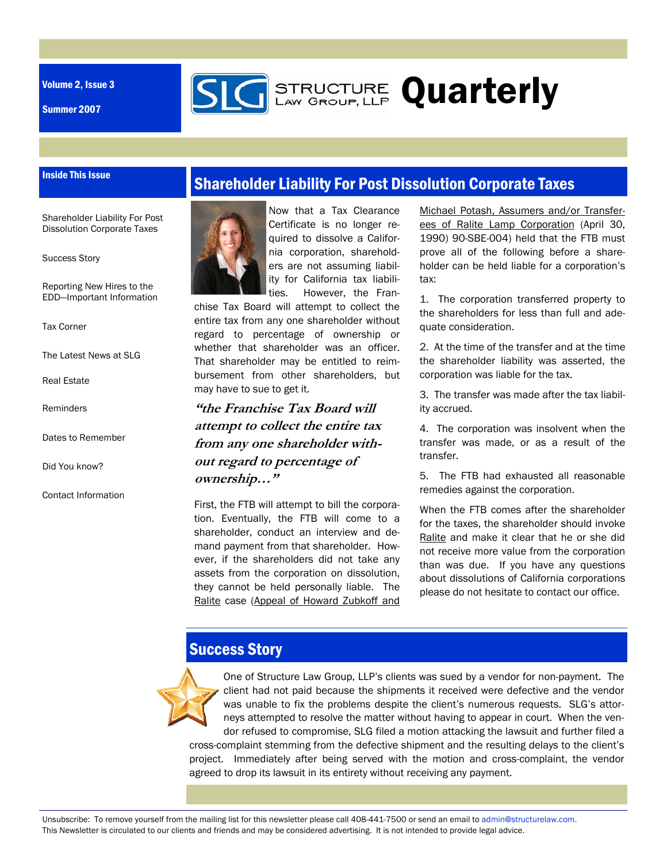Volume 2, Issue 3

Summer 2007

Inside This Issue

### Shareholder Liability For Post Dissolution Corporate Taxes

**GERENGTURE Quarterly** 

Shareholder Liability For Post Dissolution Corporate Taxes

Success Story

Reporting New Hires to the EDD—Important Information

Tax Corner

The Latest News at SLG

Real Estate

**Reminders** 

Dates to Remember

Did You know?

Contact Information



Now that a Tax Clearance Certificate is no longer required to dissolve a California corporation, shareholders are not assuming liability for California tax liabilities. However, the Fran-

chise Tax Board will attempt to collect the entire tax from any one shareholder without regard to percentage of ownership or whether that shareholder was an officer. That shareholder may be entitled to reimbursement from other shareholders, but may have to sue to get it.

**"the Franchise Tax Board will attempt to collect the entire tax from any one shareholder without regard to percentage of ownership…"** 

First, the FTB will attempt to bill the corporation. Eventually, the FTB will come to a shareholder, conduct an interview and demand payment from that shareholder. However, if the shareholders did not take any assets from the corporation on dissolution, they cannot be held personally liable. The Ralite case (Appeal of Howard Zubkoff and Michael Potash, Assumers and/or Transferees of Ralite Lamp Corporation (April 30, 1990) 90-SBE-004) held that the FTB must prove all of the following before a shareholder can be held liable for a corporation's tax:

1. The corporation transferred property to the shareholders for less than full and adequate consideration.

2. At the time of the transfer and at the time the shareholder liability was asserted, the corporation was liable for the tax.

3. The transfer was made after the tax liability accrued.

4. The corporation was insolvent when the transfer was made, or as a result of the transfer.

5. The FTB had exhausted all reasonable remedies against the corporation.

When the FTB comes after the shareholder for the taxes, the shareholder should invoke Ralite and make it clear that he or she did not receive more value from the corporation than was due. If you have any questions about dissolutions of California corporations please do not hesitate to contact our office.

# Success Story



One of Structure Law Group, LLP's clients was sued by a vendor for non-payment. The client had not paid because the shipments it received were defective and the vendor was unable to fix the problems despite the client's numerous requests. SLG's attorneys attempted to resolve the matter without having to appear in court. When the vendor refused to compromise, SLG filed a motion attacking the lawsuit and further filed a cross-complaint stemming from the defective shipment and the resulting delays to the client's project. Immediately after being served with the motion and cross-complaint, the vendor agreed to drop its lawsuit in its entirety without receiving any payment.

Unsubscribe: To remove yourself from the mailing list for this newsletter please call 408-441-7500 or send an email to admin@structurelaw.com. This Newsletter is circulated to our clients and friends and may be considered advertising. It is not intended to provide legal advice.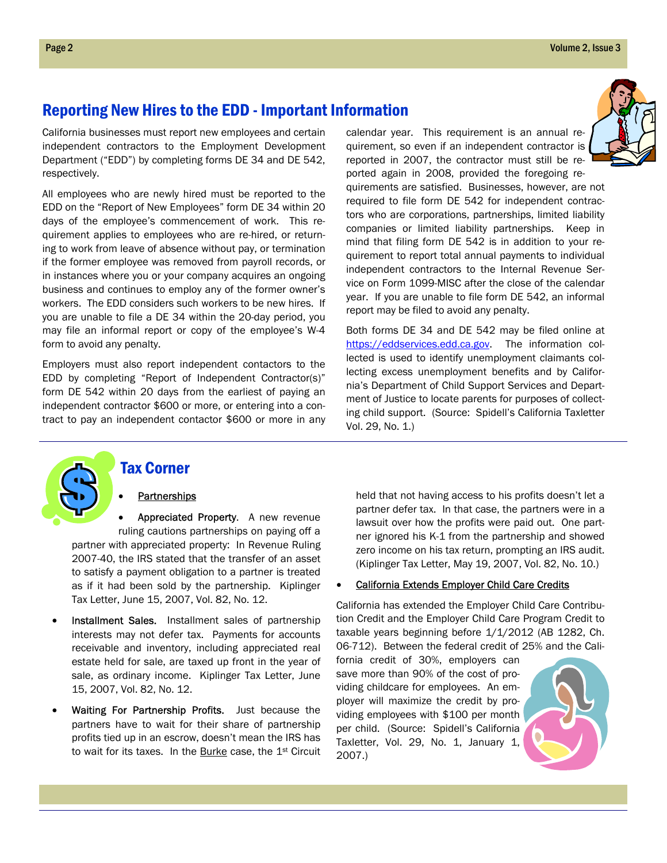### Reporting New Hires to the EDD - Important Information

California businesses must report new employees and certain independent contractors to the Employment Development Department ("EDD") by completing forms DE 34 and DE 542, respectively.

All employees who are newly hired must be reported to the EDD on the "Report of New Employees" form DE 34 within 20 days of the employee's commencement of work. This requirement applies to employees who are re-hired, or returning to work from leave of absence without pay, or termination if the former employee was removed from payroll records, or in instances where you or your company acquires an ongoing business and continues to employ any of the former owner's workers. The EDD considers such workers to be new hires. If you are unable to file a DE 34 within the 20-day period, you may file an informal report or copy of the employee's W-4 form to avoid any penalty.

Employers must also report independent contactors to the EDD by completing "Report of Independent Contractor(s)" form DE 542 within 20 days from the earliest of paying an independent contractor \$600 or more, or entering into a contract to pay an independent contactor \$600 or more in any calendar year. This requirement is an annual requirement, so even if an independent contractor is reported in 2007, the contractor must still be reported again in 2008, provided the foregoing re-



quirements are satisfied. Businesses, however, are not required to file form DE 542 for independent contractors who are corporations, partnerships, limited liability companies or limited liability partnerships. Keep in mind that filing form DE 542 is in addition to your requirement to report total annual payments to individual independent contractors to the Internal Revenue Service on Form 1099-MISC after the close of the calendar year. If you are unable to file form DE 542, an informal report may be filed to avoid any penalty.

Both forms DE 34 and DE 542 may be filed online at https://eddservices.edd.ca.gov. The information collected is used to identify unemployment claimants collecting excess unemployment benefits and by California's Department of Child Support Services and Department of Justice to locate parents for purposes of collecting child support. (Source: Spidell's California Taxletter Vol. 29, No. 1.)



#### Tax Corner

#### **Partnerships**

Appreciated Property. A new revenue ruling cautions partnerships on paying off a partner with appreciated property: In Revenue Ruling 2007-40, the IRS stated that the transfer of an asset to satisfy a payment obligation to a partner is treated as if it had been sold by the partnership. Kiplinger Tax Letter, June 15, 2007, Vol. 82, No. 12.

- Installment Sales. Installment sales of partnership interests may not defer tax. Payments for accounts receivable and inventory, including appreciated real estate held for sale, are taxed up front in the year of sale, as ordinary income. Kiplinger Tax Letter, June 15, 2007, Vol. 82, No. 12.
- Waiting For Partnership Profits. Just because the partners have to wait for their share of partnership profits tied up in an escrow, doesn't mean the IRS has to wait for its taxes. In the Burke case, the 1<sup>st</sup> Circuit

held that not having access to his profits doesn't let a partner defer tax. In that case, the partners were in a lawsuit over how the profits were paid out. One partner ignored his K-1 from the partnership and showed zero income on his tax return, prompting an IRS audit. (Kiplinger Tax Letter, May 19, 2007, Vol. 82, No. 10.)

#### • California Extends Employer Child Care Credits

California has extended the Employer Child Care Contribution Credit and the Employer Child Care Program Credit to taxable years beginning before 1/1/2012 (AB 1282, Ch. 06-712). Between the federal credit of 25% and the Cali-

fornia credit of 30%, employers can save more than 90% of the cost of providing childcare for employees. An employer will maximize the credit by providing employees with \$100 per month per child. (Source: Spidell's California Taxletter, Vol. 29, No. 1, January 1, 2007.)

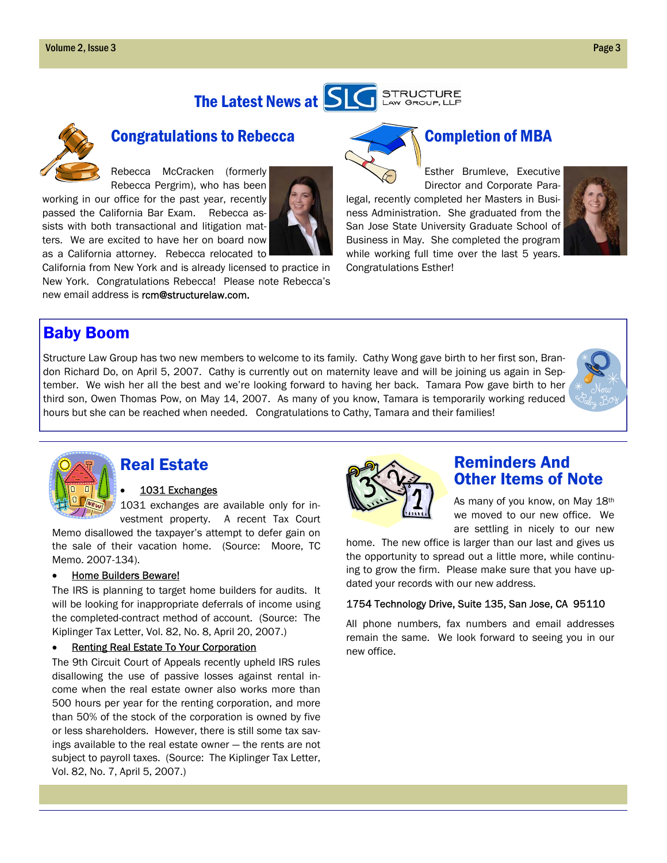



## Congratulations to Rebecca

Rebecca McCracken (formerly Rebecca Pergrim), who has been

working in our office for the past year, recently passed the California Bar Exam. Rebecca assists with both transactional and litigation matters. We are excited to have her on board now as a California attorney. Rebecca relocated to



California from New York and is already licensed to practice in New York. Congratulations Rebecca! Please note Rebecca's new email address is rcm@structurelaw.com.

# Completion of MBA

Esther Brumleve, Executive Director and Corporate Paralegal, recently completed her Masters in Business Administration. She graduated from the San Jose State University Graduate School of Business in May. She completed the program while working full time over the last 5 years. Congratulations Esther!



### Baby Boom

Structure Law Group has two new members to welcome to its family. Cathy Wong gave birth to her first son, Brandon Richard Do, on April 5, 2007. Cathy is currently out on maternity leave and will be joining us again in September. We wish her all the best and we're looking forward to having her back. Tamara Pow gave birth to her third son, Owen Thomas Pow, on May 14, 2007. As many of you know, Tamara is temporarily working reduced hours but she can be reached when needed. Congratulations to Cathy, Tamara and their families!





## Real Estate

#### 1031 Exchanges

1031 exchanges are available only for investment property. A recent Tax Court

Memo disallowed the taxpayer's attempt to defer gain on the sale of their vacation home. (Source: Moore, TC Memo. 2007-134).

#### • Home Builders Beware!

The IRS is planning to target home builders for audits. It will be looking for inappropriate deferrals of income using the completed-contract method of account. (Source: The Kiplinger Tax Letter, Vol. 82, No. 8, April 20, 2007.)

#### **Renting Real Estate To Your Corporation**

The 9th Circuit Court of Appeals recently upheld IRS rules disallowing the use of passive losses against rental income when the real estate owner also works more than 500 hours per year for the renting corporation, and more than 50% of the stock of the corporation is owned by five or less shareholders. However, there is still some tax savings available to the real estate owner — the rents are not subject to payroll taxes. (Source: The Kiplinger Tax Letter, Vol. 82, No. 7, April 5, 2007.)



### Reminders And Other Items of Note

As many of you know, on May 18th we moved to our new office. We are settling in nicely to our new

home. The new office is larger than our last and gives us the opportunity to spread out a little more, while continuing to grow the firm. Please make sure that you have updated your records with our new address.

#### 1754 Technology Drive, Suite 135, San Jose, CA 95110

All phone numbers, fax numbers and email addresses remain the same. We look forward to seeing you in our new office.